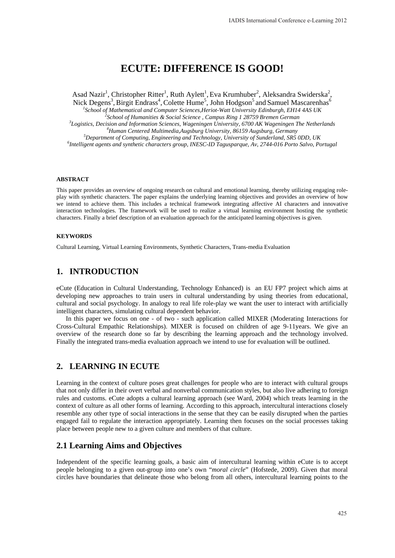# **ECUTE: DIFFERENCE IS GOOD!**

Asad Nazir<sup>1</sup>, Christopher Ritter<sup>1</sup>, Ruth Aylett<sup>1</sup>, Eva Krumhuber<sup>2</sup>, Aleksandra Swiderska<sup>2</sup>, Nick Degens<sup>3</sup>, Birgit Endrass<sup>4</sup>, Colette Hume<sup>5</sup>, John Hodgson<sup>5</sup> and Samuel Mascarenhas<sup>6</sup>

<sup>1</sup><br>
<sup>1</sup>School of Mathematical and Computer Sciences, Heriot-Watt University Edinburgh, EH14 4AS UK<br>
<sup>2</sup>School of Humanities, & Social Science, Campus Pine 1,28750 Premer Campus <sup>2</sup> School of Humanities & Social Science, Campus Ring 1 28759 Bremen German

*Logistics, Decision and Information Sciences, Wageningen University, 6700 AK Wageningen The Netherlands 4* <sup>4</sup> Human Centered Multimedia, Augsburg University, 86159 Augsburg, Germany

<sup>5</sup>Department of Computing, Engineering and Technology, University of Sunderland, SR5 0DD, UK

*Intelligent agents and synthetic characters group, INESC-ID Tagusparque, Av, 2744-016 Porto Salvo, Portugal* 

#### **ABSTRACT**

This paper provides an overview of ongoing research on cultural and emotional learning, thereby utilizing engaging roleplay with synthetic characters. The paper explains the underlying learning objectives and provides an overview of how we intend to achieve them. This includes a technical framework integrating affective AI characters and innovative interaction technologies. The framework will be used to realize a virtual learning environment hosting the synthetic characters. Finally a brief description of an evaluation approach for the anticipated learning objectives is given.

#### **KEYWORDS**

Cultural Learning, Virtual Learning Environments, Synthetic Characters, Trans-media Evaluation

### **1. INTRODUCTION**

eCute (Education in Cultural Understanding, Technology Enhanced) is an EU FP7 project which aims at developing new approaches to train users in cultural understanding by using theories from educational, cultural and social psychology. In analogy to real life role-play we want the user to interact with artificially intelligent characters, simulating cultural dependent behavior.

In this paper we focus on one - of two - such application called MIXER (Moderating Interactions for Cross-Cultural Empathic Relationships). MIXER is focused on children of age 9-11years. We give an overview of the research done so far by describing the learning approach and the technology involved. Finally the integrated trans-media evaluation approach we intend to use for evaluation will be outlined.

### **2. LEARNING IN ECUTE**

Learning in the context of culture poses great challenges for people who are to interact with cultural groups that not only differ in their overt verbal and nonverbal communication styles, but also live adhering to foreign rules and customs. eCute adopts a cultural learning approach (see Ward, 2004) which treats learning in the context of culture as all other forms of learning. According to this approach, intercultural interactions closely resemble any other type of social interactions in the sense that they can be easily disrupted when the parties engaged fail to regulate the interaction appropriately. Learning then focuses on the social processes taking place between people new to a given culture and members of that culture.

### **2.1 Learning Aims and Objectives**

Independent of the specific learning goals, a basic aim of intercultural learning within eCute is to accept people belonging to a given out-group into one's own "*moral circle*" (Hofstede, 2009). Given that moral circles have boundaries that delineate those who belong from all others, intercultural learning points to the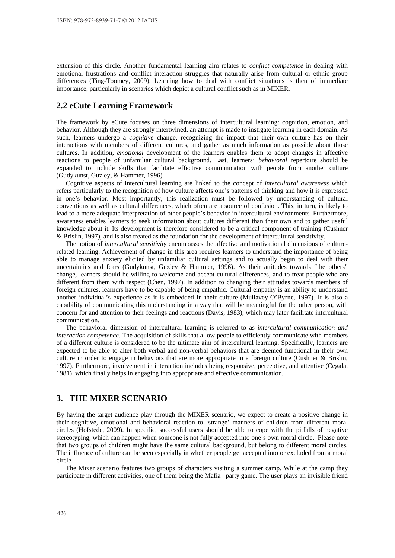extension of this circle. Another fundamental learning aim relates to *conflict competence* in dealing with emotional frustrations and conflict interaction struggles that naturally arise from cultural or ethnic group differences (Ting-Toomey, 2009). Learning how to deal with conflict situations is then of immediate importance, particularly in scenarios which depict a cultural conflict such as in MIXER.

### **2.2 eCute Learning Framework**

The framework by eCute focuses on three dimensions of intercultural learning: cognition, emotion, and behavior. Although they are strongly intertwined, an attempt is made to instigate learning in each domain. As such, learners undergo a *cognitive* change, recognizing the impact that their own culture has on their interactions with members of different cultures, and gather as much information as possible about those cultures. In addition, *emotional* development of the learners enables them to adopt changes in affective reactions to people of unfamiliar cultural background. Last, learners' *behavioral* repertoire should be expanded to include skills that facilitate effective communication with people from another culture (Gudykunst, Guzley, & Hammer, 1996).

Cognitive aspects of intercultural learning are linked to the concept of *intercultural awareness* which refers particularly to the recognition of how culture affects one's patterns of thinking and how it is expressed in one's behavior. Most importantly, this realization must be followed by understanding of cultural conventions as well as cultural differences, which often are a source of confusion. This, in turn, is likely to lead to a more adequate interpretation of other people's behavior in intercultural environments. Furthermore, awareness enables learners to seek information about cultures different than their own and to gather useful knowledge about it. Its development is therefore considered to be a critical component of training (Cushner & Brislin, 1997), and is also treated as the foundation for the development of intercultural sensitivity.

The notion of *intercultural sensitivity* encompasses the affective and motivational dimensions of culturerelated learning. Achievement of change in this area requires learners to understand the importance of being able to manage anxiety elicited by unfamiliar cultural settings and to actually begin to deal with their uncertainties and fears (Gudykunst, Guzley & Hammer, 1996). As their attitudes towards "the others" change, learners should be willing to welcome and accept cultural differences, and to treat people who are different from them with respect (Chen, 1997). In addition to changing their attitudes towards members of foreign cultures, learners have to be capable of being empathic. Cultural empathy is an ability to understand another individual's experience as it is embedded in their culture (Mullavey-O'Byrne, 1997). It is also a capability of communicating this understanding in a way that will be meaningful for the other person, with concern for and attention to their feelings and reactions (Davis, 1983), which may later facilitate intercultural communication.

The behavioral dimension of intercultural learning is referred to as *intercultural communication and interaction competence*. The acquisition of skills that allow people to efficiently communicate with members of a different culture is considered to be the ultimate aim of intercultural learning. Specifically, learners are expected to be able to alter both verbal and non-verbal behaviors that are deemed functional in their own culture in order to engage in behaviors that are more appropriate in a foreign culture (Cushner & Brislin, 1997). Furthermore, involvement in interaction includes being responsive, perceptive, and attentive (Cegala, 1981), which finally helps in engaging into appropriate and effective communication.

### **3. THE MIXER SCENARIO**

By having the target audience play through the MIXER scenario, we expect to create a positive change in their cognitive, emotional and behavioral reaction to 'strange' manners of children from different moral circles (Hofstede, 2009). In specific, successful users should be able to cope with the pitfalls of negative stereotyping, which can happen when someone is not fully accepted into one's own moral circle. Please note that two groups of children might have the same cultural background, but belong to different moral circles. The influence of culture can be seen especially in whether people get accepted into or excluded from a moral circle.

The Mixer scenario features two groups of characters visiting a summer camp. While at the camp they participate in different activities, one of them being the Mafia party game. The user plays an invisible friend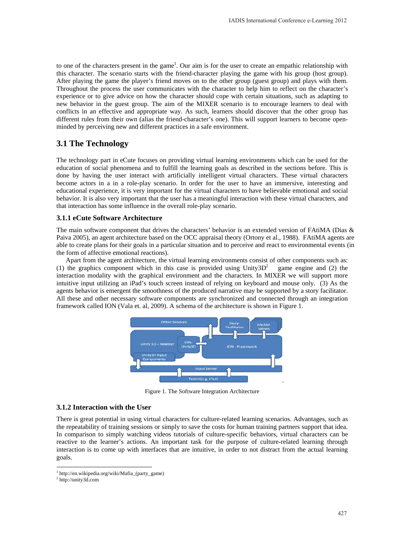to one of the characters present in the game<sup>1</sup>. Our aim is for the user to create an empathic relationship with this character. The scenario starts with the friend-character playing the game with his group (host group). After playing the game the player's friend moves on to the other group (guest group) and plays with them. Throughout the process the user communicates with the character to help him to reflect on the character's experience or to give advice on how the character should cope with certain situations, such as adapting to new behavior in the guest group. The aim of the MIXER scenario is to encourage learners to deal with conflicts in an effective and appropriate way. As such, learners should discover that the other group has different rules from their own (alias the friend-character's one). This will support learners to become openminded by perceiving new and different practices in a safe environment.

## **3.1 The Technology**

The technology part in eCute focuses on providing virtual learning environments which can be used for the education of social phenomena and to fulfill the learning goals as described in the sections before. This is done by having the user interact with artificially intelligent virtual characters. These virtual characters become actors in a in a role-play scenario. In order for the user to have an immersive, interesting and educational experience, it is very important for the virtual characters to have believable emotional and social behavior. It is also very important that the user has a meaningful interaction with these virtual characters, and that interaction has some influence in the overall role-play scenario.

#### **3.1.1 eCute Software Architecture**

The main software component that drives the characters' behavior is an extended version of FAtiMA (Dias & Paiva 2005), an agent architecture based on the OCC appraisal theory (Ortony et al., 1988). FAtiMA agents are able to create plans for their goals in a particular situation and to perceive and react to environmental events (in the form of affective emotional reactions).

Apart from the agent architecture, the virtual learning environments consist of other components such as: (1) the graphics component which in this case is provided using Unity3D<sup>2</sup> game engine and (2) the interaction modality with the graphical environment and the characters. In MIXER we will support more intuitive input utilizing an iPad's touch screen instead of relying on keyboard and mouse only. (3) As the agents behavior is emergent the smoothness of the produced narrative may be supported by a story facilitator. All these and other necessary software components are synchronized and connected through an integration framework called ION (Vala et. al, 2009). A schema of the architecture is shown in Figure 1.



Figure 1. The Software Integration Architecture

#### **3.1.2 Interaction with the User**

There is great potential in using virtual characters for culture-related learning scenarios. Advantages, such as the repeatability of training sessions or simply to save the costs for human training partners support that idea. In comparison to simply watching videos tutorials of culture-specific behaviors, virtual characters can be reactive to the learner's actions. An important task for the purpose of culture-related learning through interaction is to come up with interfaces that are intuitive, in order to not distract from the actual learning goals.

<sup>1</sup> http://en.wikipedia.org/wiki/Mafia\_(party\_game)

<sup>2</sup> http://unity3d.com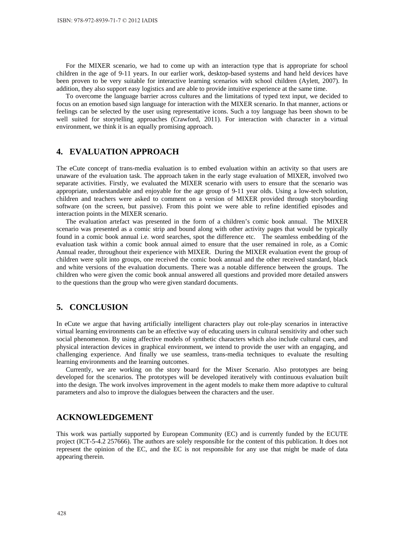For the MIXER scenario, we had to come up with an interaction type that is appropriate for school children in the age of 9-11 years. In our earlier work, desktop-based systems and hand held devices have been proven to be very suitable for interactive learning scenarios with school children (Aylett, 2007). In addition, they also support easy logistics and are able to provide intuitive experience at the same time.

To overcome the language barrier across cultures and the limitations of typed text input, we decided to focus on an emotion based sign language for interaction with the MIXER scenario. In that manner, actions or feelings can be selected by the user using representative icons. Such a toy language has been shown to be well suited for storytelling approaches (Crawford, 2011). For interaction with character in a virtual environment, we think it is an equally promising approach.

## **4. EVALUATION APPROACH**

The eCute concept of trans-media evaluation is to embed evaluation within an activity so that users are unaware of the evaluation task. The approach taken in the early stage evaluation of MIXER, involved two separate activities. Firstly, we evaluated the MIXER scenario with users to ensure that the scenario was appropriate, understandable and enjoyable for the age group of 9-11 year olds. Using a low-tech solution, children and teachers were asked to comment on a version of MIXER provided through storyboarding software (on the screen, but passive). From this point we were able to refine identified episodes and interaction points in the MIXER scenario.

The evaluation artefact was presented in the form of a children's comic book annual. The MIXER scenario was presented as a comic strip and bound along with other activity pages that would be typically found in a comic book annual i.e. word searches, spot the difference etc. The seamless embedding of the evaluation task within a comic book annual aimed to ensure that the user remained in role, as a Comic Annual reader, throughout their experience with MIXER. During the MIXER evaluation event the group of children were split into groups, one received the comic book annual and the other received standard, black and white versions of the evaluation documents. There was a notable difference between the groups. The children who were given the comic book annual answered all questions and provided more detailed answers to the questions than the group who were given standard documents.

### **5. CONCLUSION**

In eCute we argue that having artificially intelligent characters play out role-play scenarios in interactive virtual learning environments can be an effective way of educating users in cultural sensitivity and other such social phenomenon. By using affective models of synthetic characters which also include cultural cues, and physical interaction devices in graphical environment, we intend to provide the user with an engaging, and challenging experience. And finally we use seamless, trans-media techniques to evaluate the resulting learning environments and the learning outcomes.

Currently, we are working on the story board for the Mixer Scenario. Also prototypes are being developed for the scenarios. The prototypes will be developed iteratively with continuous evaluation built into the design. The work involves improvement in the agent models to make them more adaptive to cultural parameters and also to improve the dialogues between the characters and the user.

### **ACKNOWLEDGEMENT**

This work was partially supported by European Community (EC) and is currently funded by the ECUTE project (ICT-5-4.2 257666). The authors are solely responsible for the content of this publication. It does not represent the opinion of the EC, and the EC is not responsible for any use that might be made of data appearing therein.